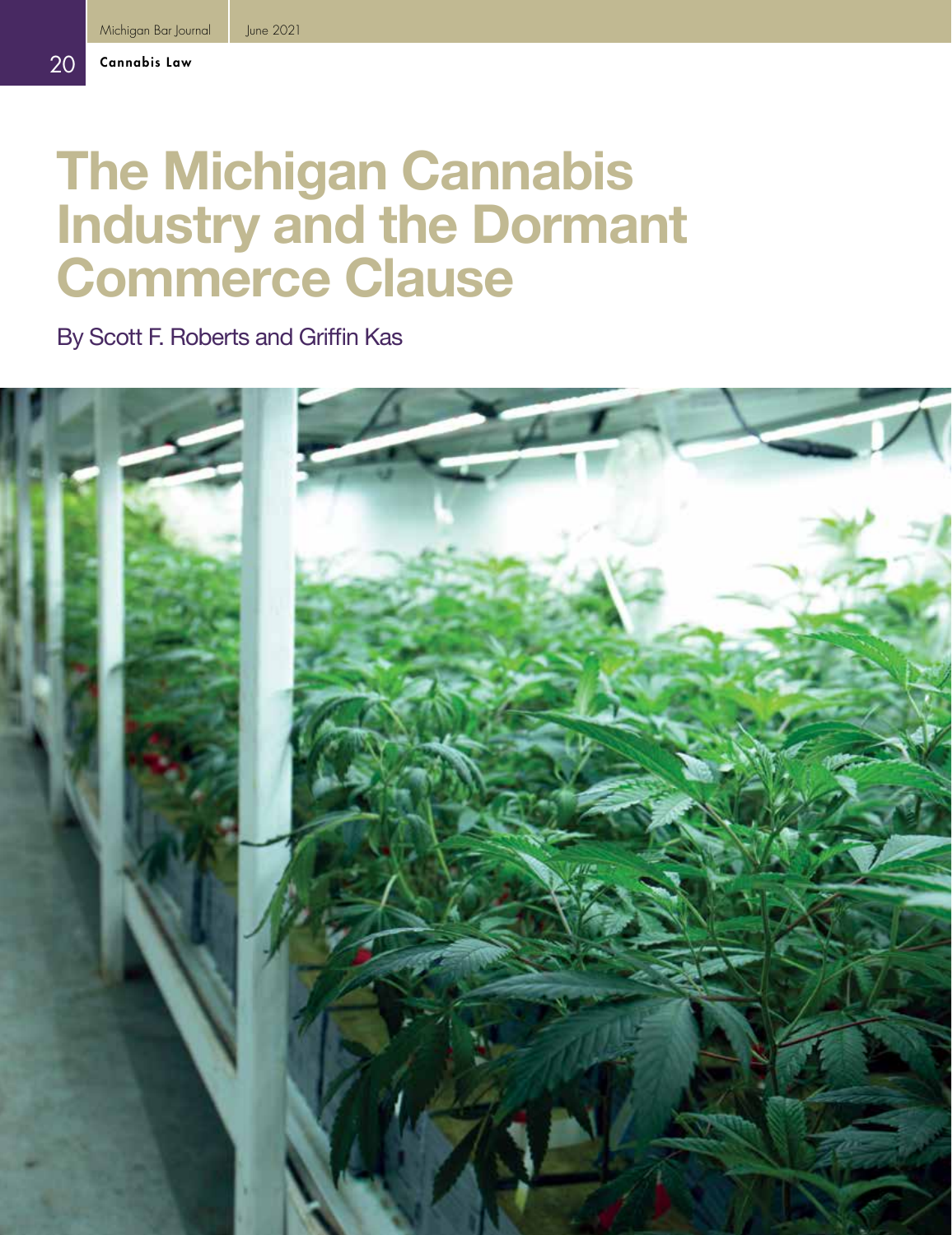# **The Michigan Cannabis Industry and the Dormant Commerce Clause**

By Scott F. Roberts and Griffin Kas

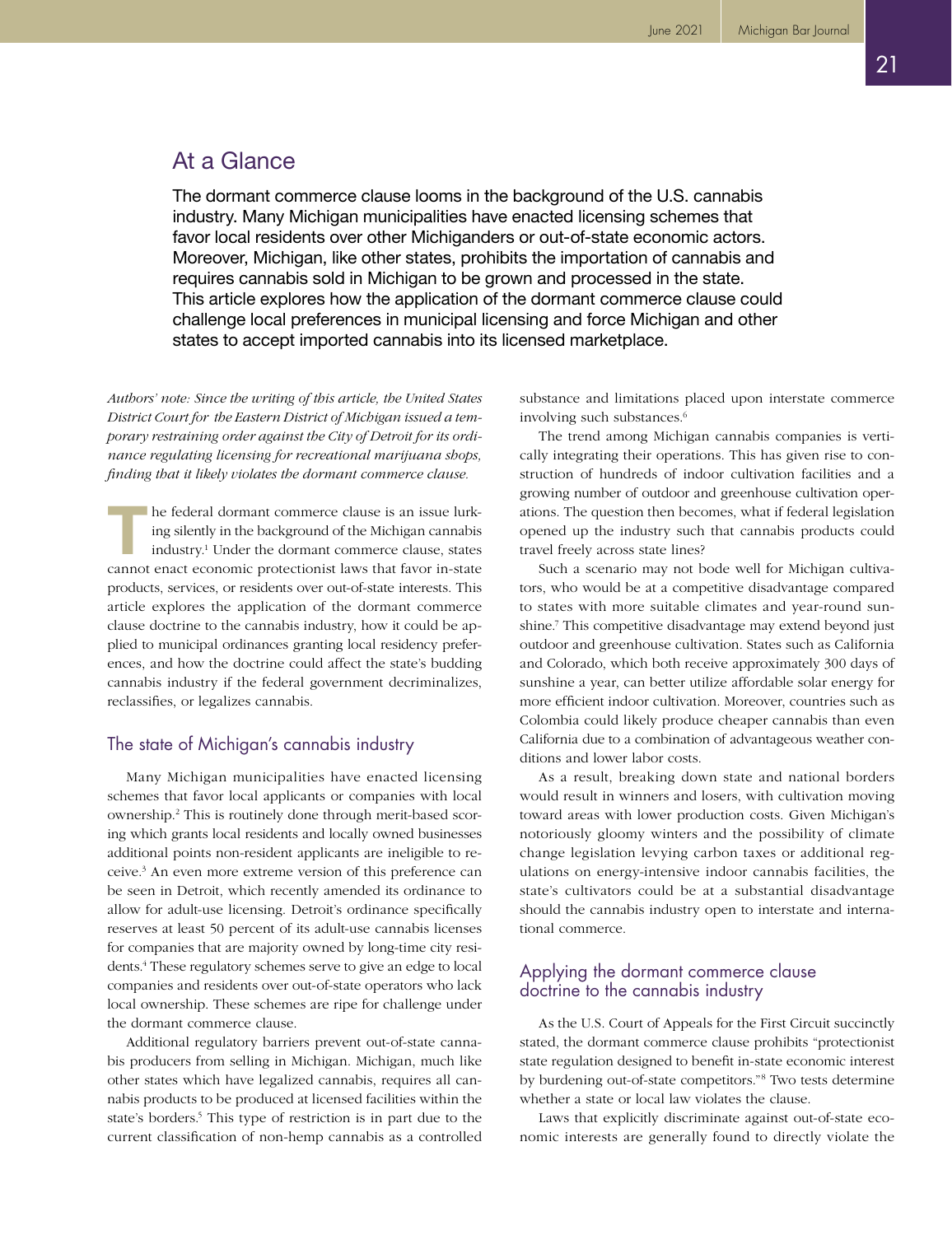## At a Glance

The dormant commerce clause looms in the background of the U.S. cannabis industry. Many Michigan municipalities have enacted licensing schemes that favor local residents over other Michiganders or out-of-state economic actors. Moreover, Michigan, like other states, prohibits the importation of cannabis and requires cannabis sold in Michigan to be grown and processed in the state. This article explores how the application of the dormant commerce clause could challenge local preferences in municipal licensing and force Michigan and other states to accept imported cannabis into its licensed marketplace.

*Authors' note: Since the writing of this article, the United States District Court for the Eastern District of Michigan issued a temporary restraining order against the City of Detroit for its ordinance regulating licensing for recreational marijuana shops, finding that it likely violates the dormant commerce clause.*

**THE FEDERAL COMMUNIST STATE IS A THE SET OF STATE IS SERVING STATE IS IN STATE IS IN STATE CANNOT IN STATE CANNOT CONTROLLED AND CONTROLLED A CONTROLLED A CONTROLLED A CONTROLLED A CONTROLLED A CONTROLLED A CONTROLLED A C** ing silently in the background of the Michigan cannabis industry.1 Under the dormant commerce clause, states products, services, or residents over out-of-state interests. This article explores the application of the dormant commerce clause doctrine to the cannabis industry, how it could be applied to municipal ordinances granting local residency preferences, and how the doctrine could affect the state's budding cannabis industry if the federal government decriminalizes, reclassifies, or legalizes cannabis.

### The state of Michigan's cannabis industry

Many Michigan municipalities have enacted licensing schemes that favor local applicants or companies with local ownership.2 This is routinely done through merit-based scoring which grants local residents and locally owned businesses additional points non-resident applicants are ineligible to receive.3 An even more extreme version of this preference can be seen in Detroit, which recently amended its ordinance to allow for adult-use licensing. Detroit's ordinance specifically reserves at least 50 percent of its adult-use cannabis licenses for companies that are majority owned by long-time city residents.4 These regulatory schemes serve to give an edge to local companies and residents over out-of-state operators who lack local ownership. These schemes are ripe for challenge under the dormant commerce clause.

Additional regulatory barriers prevent out-of-state cannabis producers from selling in Michigan. Michigan, much like other states which have legalized cannabis, requires all cannabis products to be produced at licensed facilities within the state's borders.<sup>5</sup> This type of restriction is in part due to the current classification of non-hemp cannabis as a controlled

substance and limitations placed upon interstate commerce involving such substances.<sup>6</sup>

The trend among Michigan cannabis companies is vertically integrating their operations. This has given rise to construction of hundreds of indoor cultivation facilities and a growing number of outdoor and greenhouse cultivation operations. The question then becomes, what if federal legislation opened up the industry such that cannabis products could travel freely across state lines?

Such a scenario may not bode well for Michigan cultivators, who would be at a competitive disadvantage compared to states with more suitable climates and year-round sunshine.<sup>7</sup> This competitive disadvantage may extend beyond just outdoor and greenhouse cultivation. States such as California and Colorado, which both receive approximately 300 days of sunshine a year, can better utilize affordable solar energy for more efficient indoor cultivation. Moreover, countries such as Colombia could likely produce cheaper cannabis than even California due to a combination of advantageous weather conditions and lower labor costs.

As a result, breaking down state and national borders would result in winners and losers, with cultivation moving toward areas with lower production costs. Given Michigan's notoriously gloomy winters and the possibility of climate change legislation levying carbon taxes or additional regulations on energy-intensive indoor cannabis facilities, the state's cultivators could be at a substantial disadvantage should the cannabis industry open to interstate and international commerce.

#### Applying the dormant commerce clause doctrine to the cannabis industry

As the U.S. Court of Appeals for the First Circuit succinctly stated, the dormant commerce clause prohibits "protectionist state regulation designed to benefit in-state economic interest by burdening out-of-state competitors."8 Two tests determine whether a state or local law violates the clause.

Laws that explicitly discriminate against out-of-state economic interests are generally found to directly violate the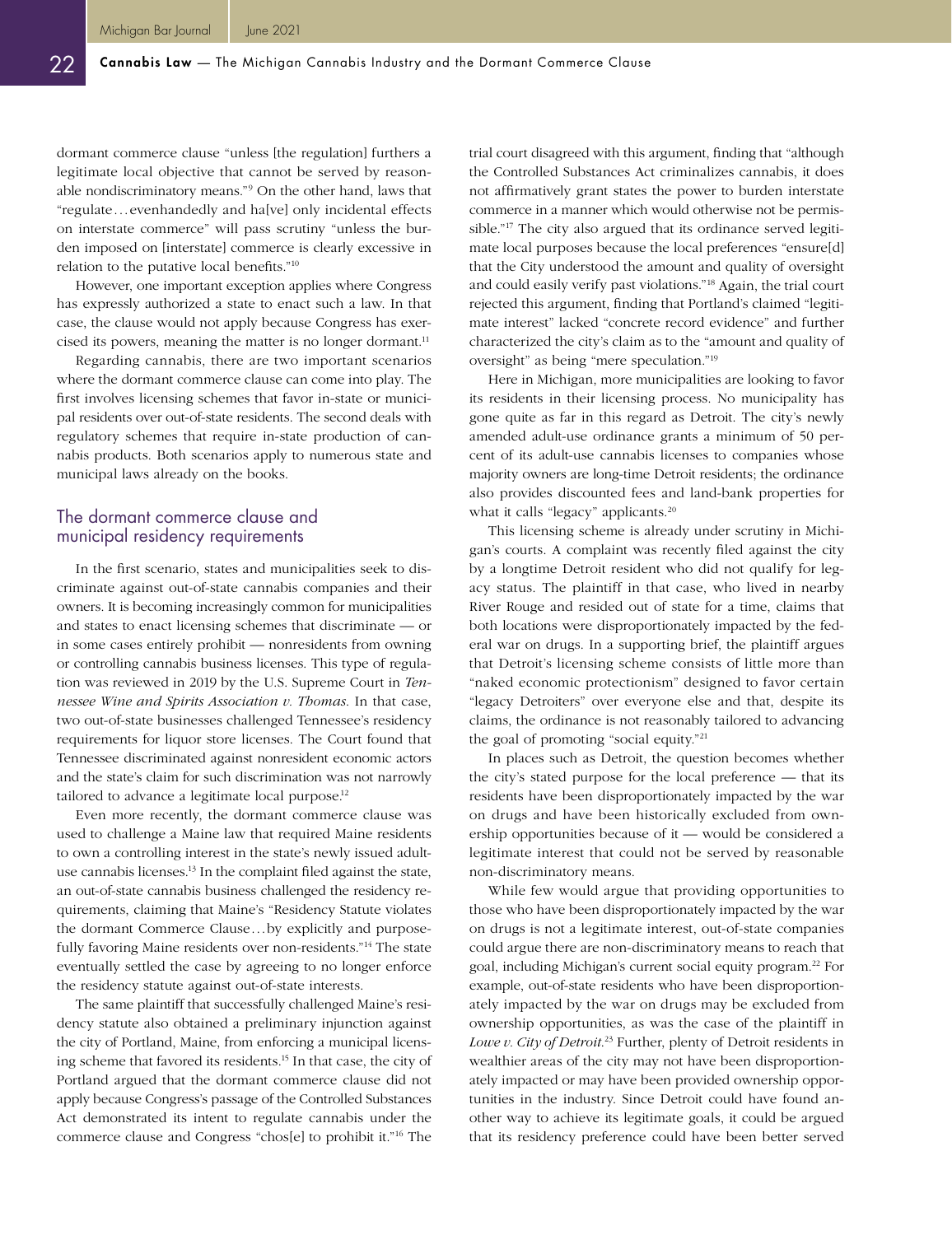dormant commerce clause "unless [the regulation] furthers a legitimate local objective that cannot be served by reasonable nondiscriminatory means."9 On the other hand, laws that "regulate...evenhandedly and ha[ve] only incidental effects on interstate commerce" will pass scrutiny "unless the burden imposed on [interstate] commerce is clearly excessive in relation to the putative local benefits."10

However, one important exception applies where Congress has expressly authorized a state to enact such a law. In that case, the clause would not apply because Congress has exercised its powers, meaning the matter is no longer dormant.<sup>11</sup>

Regarding cannabis, there are two important scenarios where the dormant commerce clause can come into play. The first involves licensing schemes that favor in-state or municipal residents over out-of-state residents. The second deals with regulatory schemes that require in-state production of cannabis products. Both scenarios apply to numerous state and municipal laws already on the books.

#### The dormant commerce clause and municipal residency requirements

In the first scenario, states and municipalities seek to discriminate against out-of-state cannabis companies and their owners. It is becoming increasingly common for municipalities and states to enact licensing schemes that discriminate — or in some cases entirely prohibit — nonresidents from owning or controlling cannabis business licenses. This type of regulation was reviewed in 2019 by the U.S. Supreme Court in *Tennessee Wine and Spirits Association v. Thomas*. In that case, two out-of-state businesses challenged Tennessee's residency requirements for liquor store licenses. The Court found that Tennessee discriminated against nonresident economic actors and the state's claim for such discrimination was not narrowly tailored to advance a legitimate local purpose.<sup>12</sup>

Even more recently, the dormant commerce clause was used to challenge a Maine law that required Maine residents to own a controlling interest in the state's newly issued adultuse cannabis licenses.13 In the complaint filed against the state, an out-of-state cannabis business challenged the residency requirements, claiming that Maine's "Residency Statute violates the dormant Commerce Clause...by explicitly and purposefully favoring Maine residents over non-residents."<sup>14</sup> The state eventually settled the case by agreeing to no longer enforce the residency statute against out-of-state interests.

The same plaintiff that successfully challenged Maine's residency statute also obtained a preliminary injunction against the city of Portland, Maine, from enforcing a municipal licensing scheme that favored its residents.15 In that case, the city of Portland argued that the dormant commerce clause did not apply because Congress's passage of the Controlled Substances Act demonstrated its intent to regulate cannabis under the commerce clause and Congress "chos[e] to prohibit it."16 The

trial court disagreed with this argument, finding that "although the Controlled Substances Act criminalizes cannabis, it does not affirmatively grant states the power to burden interstate commerce in a manner which would otherwise not be permissible."17 The city also argued that its ordinance served legitimate local purposes because the local preferences "ensure[d] that the City understood the amount and quality of oversight and could easily verify past violations."18 Again, the trial court rejected this argument, finding that Portland's claimed "legitimate interest" lacked "concrete record evidence" and further characterized the city's claim as to the "amount and quality of oversight" as being "mere speculation."19

Here in Michigan, more municipalities are looking to favor its residents in their licensing process. No municipality has gone quite as far in this regard as Detroit. The city's newly amended adult-use ordinance grants a minimum of 50 percent of its adult-use cannabis licenses to companies whose majority owners are long-time Detroit residents; the ordinance also provides discounted fees and land-bank properties for what it calls "legacy" applicants.<sup>20</sup>

This licensing scheme is already under scrutiny in Michigan's courts. A complaint was recently filed against the city by a longtime Detroit resident who did not qualify for legacy status. The plaintiff in that case, who lived in nearby River Rouge and resided out of state for a time, claims that both locations were disproportionately impacted by the federal war on drugs. In a supporting brief, the plaintiff argues that Detroit's licensing scheme consists of little more than "naked economic protectionism" designed to favor certain "legacy Detroiters" over everyone else and that, despite its claims, the ordinance is not reasonably tailored to advancing the goal of promoting "social equity."21

In places such as Detroit, the question becomes whether the city's stated purpose for the local preference — that its residents have been disproportionately impacted by the war on drugs and have been historically excluded from ownership opportunities because of it — would be considered a legitimate interest that could not be served by reasonable non-discriminatory means.

While few would argue that providing opportunities to those who have been disproportionately impacted by the war on drugs is not a legitimate interest, out-of-state companies could argue there are non-discriminatory means to reach that goal, including Michigan's current social equity program.<sup>22</sup> For example, out-of-state residents who have been disproportionately impacted by the war on drugs may be excluded from ownership opportunities, as was the case of the plaintiff in *Lowe v. City of Detroit*. 23 Further, plenty of Detroit residents in wealthier areas of the city may not have been disproportionately impacted or may have been provided ownership opportunities in the industry. Since Detroit could have found another way to achieve its legitimate goals, it could be argued that its residency preference could have been better served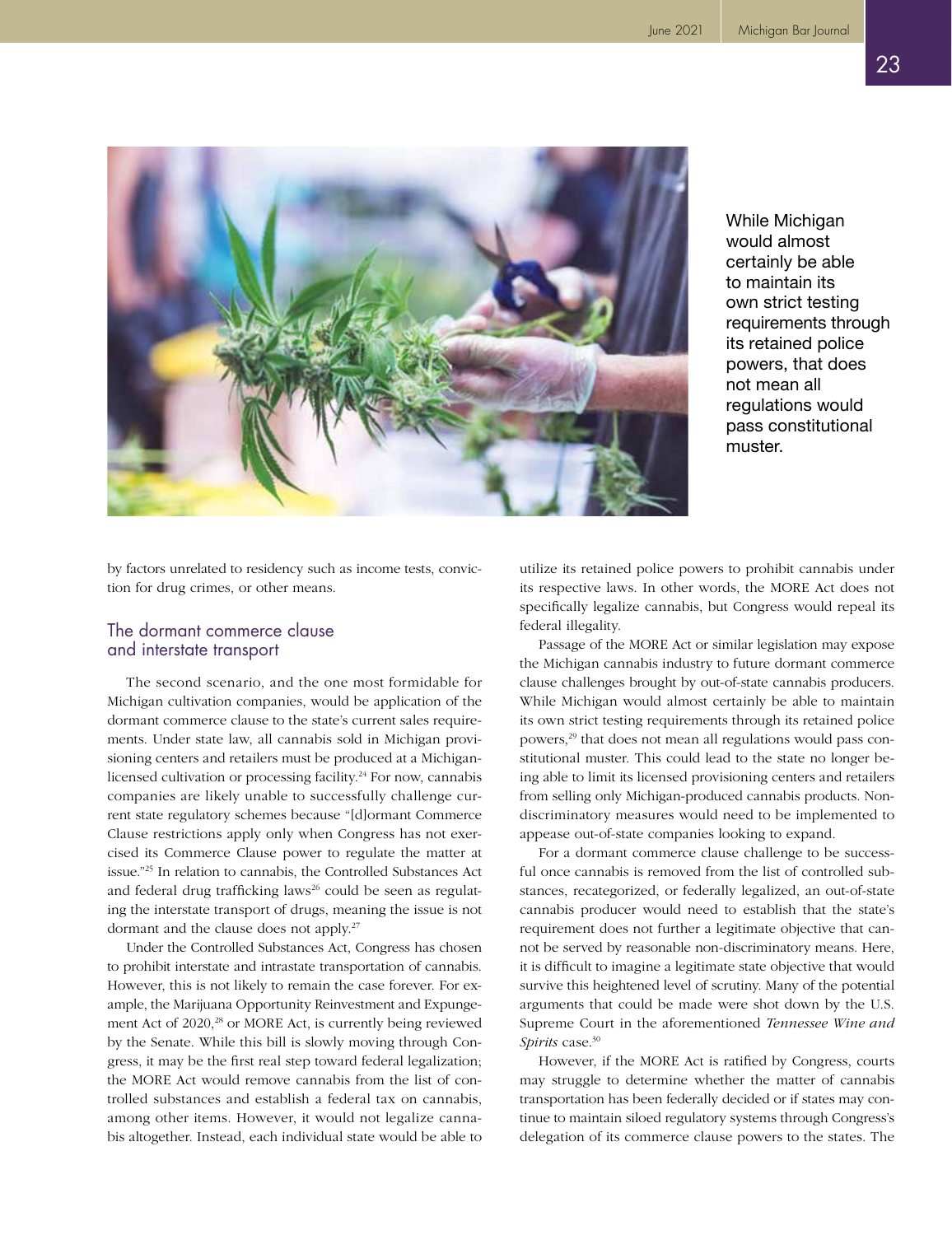

While Michigan would almost certainly be able to maintain its own strict testing requirements through its retained police powers, that does not mean all regulations would pass constitutional muster.

by factors unrelated to residency such as income tests, conviction for drug crimes, or other means.

#### The dormant commerce clause and interstate transport

The second scenario, and the one most formidable for Michigan cultivation companies, would be application of the dormant commerce clause to the state's current sales requirements. Under state law, all cannabis sold in Michigan provisioning centers and retailers must be produced at a Michiganlicensed cultivation or processing facility.24 For now, cannabis companies are likely unable to successfully challenge current state regulatory schemes because "[d]ormant Commerce Clause restrictions apply only when Congress has not exercised its Commerce Clause power to regulate the matter at issue."25 In relation to cannabis, the Controlled Substances Act and federal drug trafficking laws<sup>26</sup> could be seen as regulating the interstate transport of drugs, meaning the issue is not dormant and the clause does not apply.27

Under the Controlled Substances Act, Congress has chosen to prohibit interstate and intrastate transportation of cannabis. However, this is not likely to remain the case forever. For example, the Marijuana Opportunity Reinvestment and Expungement Act of 2020,<sup>28</sup> or MORE Act, is currently being reviewed by the Senate. While this bill is slowly moving through Congress, it may be the first real step toward federal legalization; the MORE Act would remove cannabis from the list of controlled substances and establish a federal tax on cannabis, among other items. However, it would not legalize cannabis altogether. Instead, each individual state would be able to

utilize its retained police powers to prohibit cannabis under its respective laws. In other words, the MORE Act does not specifically legalize cannabis, but Congress would repeal its federal illegality.

Passage of the MORE Act or similar legislation may expose the Michigan cannabis industry to future dormant commerce clause challenges brought by out-of-state cannabis producers. While Michigan would almost certainly be able to maintain its own strict testing requirements through its retained police powers,29 that does not mean all regulations would pass constitutional muster. This could lead to the state no longer being able to limit its licensed provisioning centers and retailers from selling only Michigan-produced cannabis products. Nondiscriminatory measures would need to be implemented to appease out-of-state companies looking to expand.

For a dormant commerce clause challenge to be successful once cannabis is removed from the list of controlled substances, recategorized, or federally legalized, an out-of-state cannabis producer would need to establish that the state's requirement does not further a legitimate objective that cannot be served by reasonable non-discriminatory means. Here, it is difficult to imagine a legitimate state objective that would survive this heightened level of scrutiny. Many of the potential arguments that could be made were shot down by the U.S. Supreme Court in the aforementioned *Tennessee Wine and Spirits* case.<sup>30</sup>

However, if the MORE Act is ratified by Congress, courts may struggle to determine whether the matter of cannabis transportation has been federally decided or if states may continue to maintain siloed regulatory systems through Congress's delegation of its commerce clause powers to the states. The